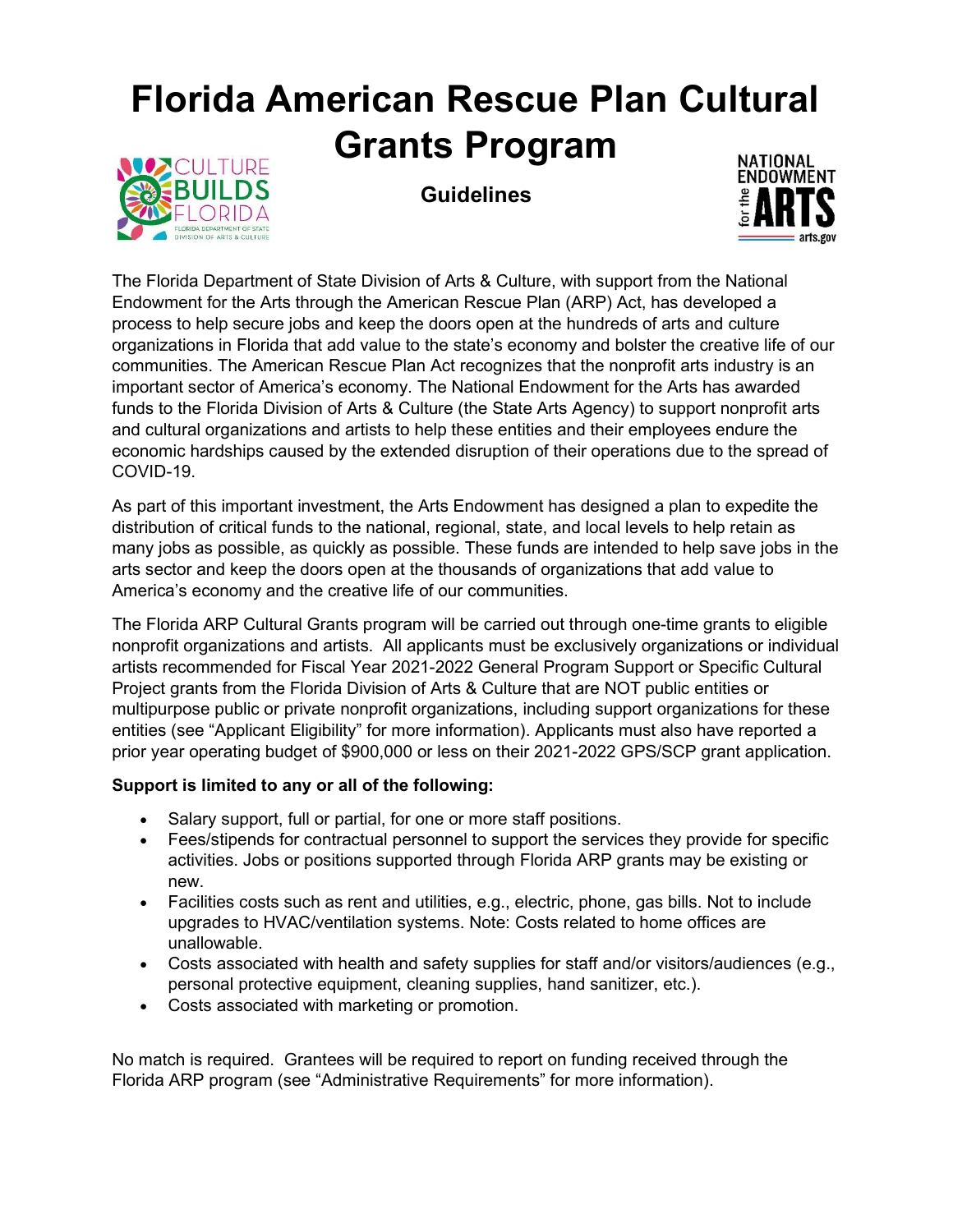# Florida American Rescue Plan Cultural Grants Program



**Guidelines** 



The Florida Department of State Division of Arts & Culture, with support from the National Endowment for the Arts through the American Rescue Plan (ARP) Act, has developed a process to help secure jobs and keep the doors open at the hundreds of arts and culture organizations in Florida that add value to the state's economy and bolster the creative life of our communities. The American Rescue Plan Act recognizes that the nonprofit arts industry is an important sector of America's economy. The National Endowment for the Arts has awarded funds to the Florida Division of Arts & Culture (the State Arts Agency) to support nonprofit arts and cultural organizations and artists to help these entities and their employees endure the economic hardships caused by the extended disruption of their operations due to the spread of COVID-19.

As part of this important investment, the Arts Endowment has designed a plan to expedite the distribution of critical funds to the national, regional, state, and local levels to help retain as many jobs as possible, as quickly as possible. These funds are intended to help save jobs in the arts sector and keep the doors open at the thousands of organizations that add value to America's economy and the creative life of our communities.

The Florida ARP Cultural Grants program will be carried out through one-time grants to eligible nonprofit organizations and artists. All applicants must be exclusively organizations or individual artists recommended for Fiscal Year 2021-2022 General Program Support or Specific Cultural Project grants from the Florida Division of Arts & Culture that are NOT public entities or multipurpose public or private nonprofit organizations, including support organizations for these entities (see "Applicant Eligibility" for more information). Applicants must also have reported a prior year operating budget of \$900,000 or less on their 2021-2022 GPS/SCP grant application.

#### Support is limited to any or all of the following:

- Salary support, full or partial, for one or more staff positions.
- Fees/stipends for contractual personnel to support the services they provide for specific activities. Jobs or positions supported through Florida ARP grants may be existing or new.
- Facilities costs such as rent and utilities, e.g., electric, phone, gas bills. Not to include upgrades to HVAC/ventilation systems. Note: Costs related to home offices are unallowable.
- Costs associated with health and safety supplies for staff and/or visitors/audiences (e.g., personal protective equipment, cleaning supplies, hand sanitizer, etc.).
- Costs associated with marketing or promotion.

No match is required. Grantees will be required to report on funding received through the Florida ARP program (see "Administrative Requirements" for more information).